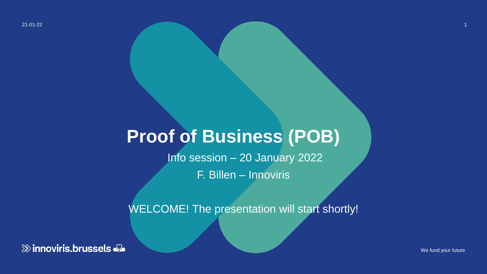21-01-22

### **Proof of Business (POB)**

Info session – 20 January 2022

F. Billen – Innoviris

WELCOME! The presentation will start shortly!

**& innoviris.brussels** 

We fund your future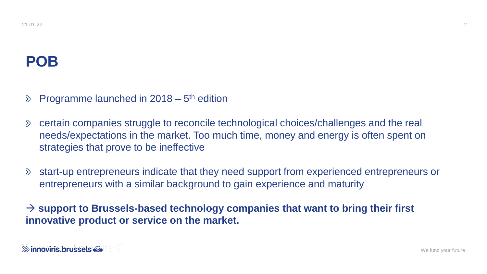### **POB**

Programme launched in  $2018 - 5$ <sup>th</sup> edition  $\delta$ 

- certain companies struggle to reconcile technological choices/challenges and the real  $\delta$ needs/expectations in the market. Too much time, money and energy is often spent on strategies that prove to be ineffective
- start-up entrepreneurs indicate that they need support from experienced entrepreneurs or  $\delta$ entrepreneurs with a similar background to gain experience and maturity

→ **support to Brussels-based technology companies that want to bring their first innovative product or service on the market.**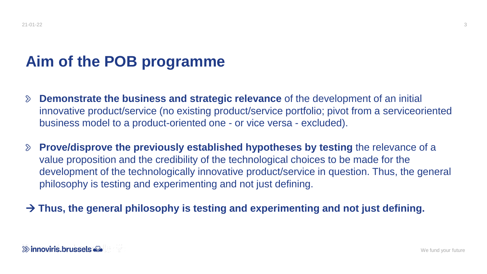### **Aim of the POB programme**

- **Demonstrate the business and strategic relevance** of the development of an initial  $\sum$ innovative product/service (no existing product/service portfolio; pivot from a serviceoriented business model to a product-oriented one - or vice versa - excluded).
- **Prove/disprove the previously established hypotheses by testing** the relevance of a  $\sum$ value proposition and the credibility of the technological choices to be made for the development of the technologically innovative product/service in question. Thus, the general philosophy is testing and experimenting and not just defining.
- → **Thus, the general philosophy is testing and experimenting and not just defining.**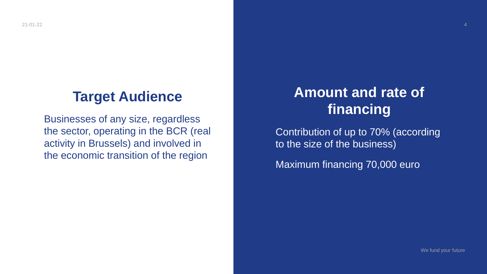### **Target Audience**

Businesses of any size, regardless the sector, operating in the BCR (real activity in Brussels) and involved in the economic transition of the region

### **Amount and rate of financing**

Contribution of up to 70% (according to the size of the business)

Maximum financing 70,000 euro

We fund your future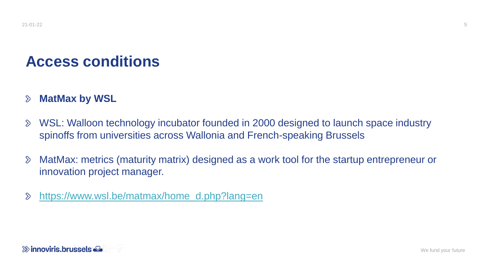### **Access conditions**

#### **MatMax by WSL**  $\delta$

- WSL: Walloon technology incubator founded in 2000 designed to launch space industry  $\delta$ spinoffs from universities across Wallonia and French-speaking Brussels
- MatMax: metrics (maturity matrix) designed as a work tool for the startup entrepreneur or  $\delta$ innovation project manager.
- [https://www.wsl.be/matmax/home\\_d.php?lang=en](https://www.wsl.be/matmax/home_d.php?lang=en)  $\mathcal{D}$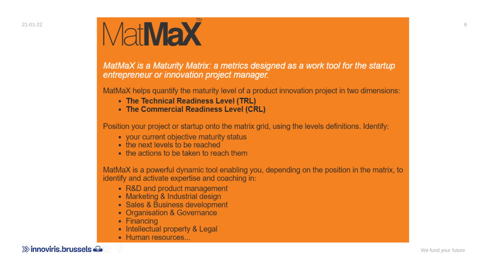

MatMaX is a Maturity Matrix: a metrics designed as a work tool for the startup entrepreneur or innovation project manager.

MatMaX helps quantify the maturity level of a product innovation project in two dimensions:

- The Technical Readiness Level (TRL)
- The Commercial Readiness Level (CRL)

Position your project or startup onto the matrix grid, using the levels definitions. Identify:

- your current objective maturity status
- the next levels to be reached
- the actions to be taken to reach them

MatMaX is a powerful dynamic tool enabling you, depending on the position in the matrix, to identify and activate expertise and coaching in:

- R&D and product management
- Marketing & Industrial design
- Sales & Business development
- Organisation & Governance
- Financing
- Intellectual property & Legal
- Human resources...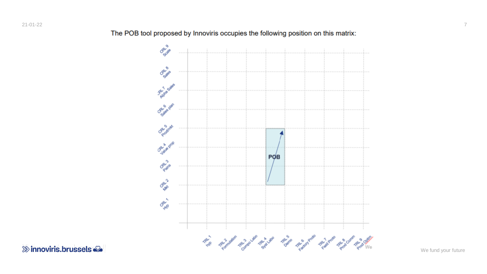ORN 9 CRL & **PLYVID Sales** CR4 6 plan ORL Sunt **CRAWE** POB **ORNIV**® ORNA CAN 1 This decoration results for the control of the control the development of the development of the development

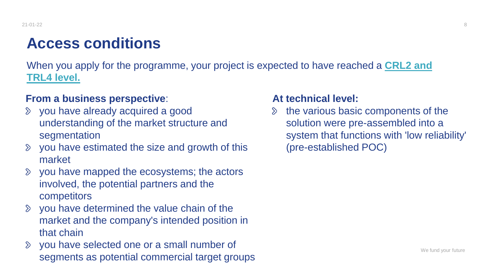### **Access conditions**

[When you apply for the programme, your project is expected to have reached a](https://www.wsl.be/matmax/home_d.php?lang=en) **CRL2 and TRL4 level.** 

### **From a business perspective**:

- you have already acquired a good understanding of the market structure and segmentation
- you have estimated the size and growth of this market
- you have mapped the ecosystems; the actors  $\sum$ involved, the potential partners and the competitors
- $\delta$  you have determined the value chain of the market and the company's intended position in that chain
- you have selected one or a small number of  $\sum$ segments as potential commercial target groups

#### **At technical level:**

the various basic components of the  $\sum$ solution were pre-assembled into a system that functions with 'low reliability' (pre-established POC)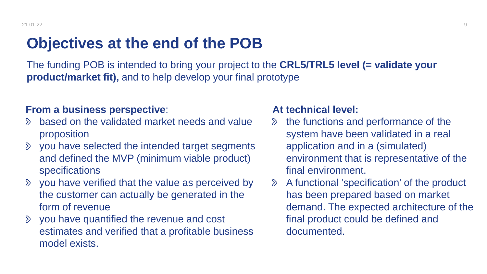### **Objectives at the end of the POB**

The funding POB is intended to bring your project to the **CRL5/TRL5 level (= validate your product/market fit),** and to help develop your final prototype

#### **From a business perspective**:

- based on the validated market needs and value  $\mathcal{D}$ proposition
- you have selected the intended target segments  $\sum$ and defined the MVP (minimum viable product) specifications
- $\delta$  you have verified that the value as perceived by the customer can actually be generated in the form of revenue
- you have quantified the revenue and cost  $\sum$ estimates and verified that a profitable business model exists.

#### **At technical level:**

- the functions and performance of the  $\sum$ system have been validated in a real application and in a (simulated) environment that is representative of the final environment.
- A functional 'specification' of the product  $\sum$ has been prepared based on market demand. The expected architecture of the final product could be defined and documented.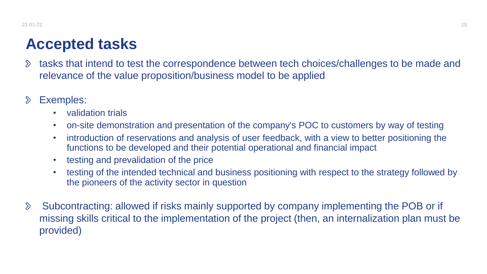### **Accepted tasks**

- tasks that intend to test the correspondence between tech choices/challenges to be made and  $\sum$ relevance of the value proposition/business model to be applied
- Exemples:  $\sum$ 
	- validation trials
	- on-site demonstration and presentation of the company's POC to customers by way of testing
	- introduction of reservations and analysis of user feedback, with a view to better positioning the functions to be developed and their potential operational and financial impact
	- testing and prevalidation of the price
	- testing of the intended technical and business positioning with respect to the strategy followed by the pioneers of the activity sector in question
- Subcontracting: allowed if risks mainly supported by company implementing the POB or if  $\delta$ missing skills critical to the implementation of the project (then, an internalization plan must be provided)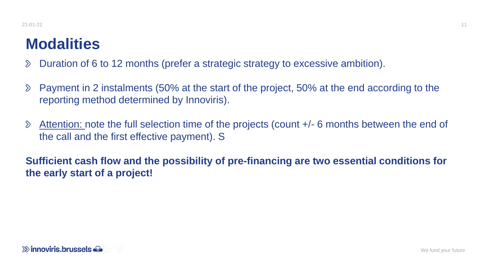### **Modalities**

- Duration of 6 to 12 months (prefer a strategic strategy to excessive ambition).  $\sum$
- Payment in 2 instalments (50% at the start of the project, 50% at the end according to the  $\delta$ reporting method determined by Innoviris).
- Attention: note the full selection time of the projects (count +/- 6 months between the end of  $\delta$ the call and the first effective payment). S

**Sufficient cash flow and the possibility of pre-financing are two essential conditions for the early start of a project!**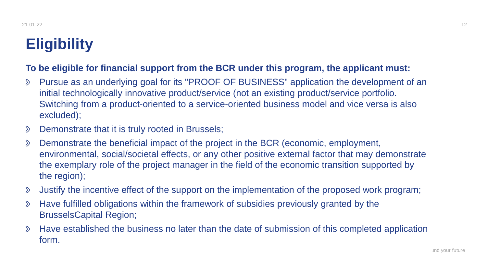## **Eligibility**

#### **To be eligible for financial support from the BCR under this program, the applicant must:**

- $\delta$ Pursue as an underlying goal for its "PROOF OF BUSINESS" application the development of an initial technologically innovative product/service (not an existing product/service portfolio. Switching from a product-oriented to a service-oriented business model and vice versa is also excluded);
- Demonstrate that it is truly rooted in Brussels;  $\sum$
- Demonstrate the beneficial impact of the project in the BCR (economic, employment,  $\delta$ environmental, social/societal effects, or any other positive external factor that may demonstrate the exemplary role of the project manager in the field of the economic transition supported by the region);
- Justify the incentive effect of the support on the implementation of the proposed work program;  $\delta$
- Have fulfilled obligations within the framework of subsidies previously granted by the  $\mathcal{D}$ BrusselsCapital Region;
- Have established the business no later than the date of submission of this completed application  $\delta$ form.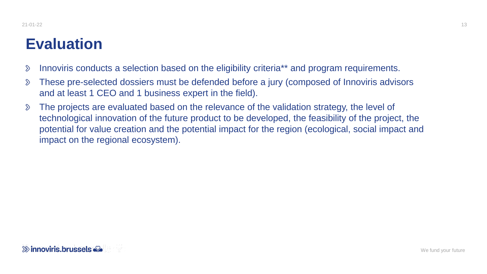### **Evaluation**

- Innoviris conducts a selection based on the eligibility criteria\*\* and program requirements.  $\mathcal{D}$
- $\delta$ These pre-selected dossiers must be defended before a jury (composed of Innoviris advisors and at least 1 CEO and 1 business expert in the field).
- The projects are evaluated based on the relevance of the validation strategy, the level of  $\delta$ technological innovation of the future product to be developed, the feasibility of the project, the potential for value creation and the potential impact for the region (ecological, social impact and impact on the regional ecosystem).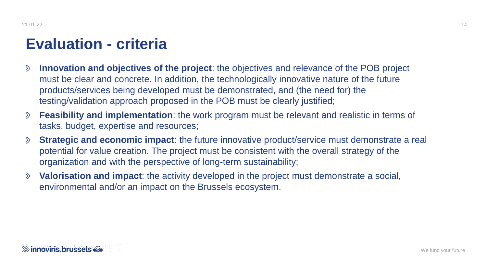### **Evaluation - criteria**

- **Innovation and objectives of the project**: the objectives and relevance of the POB project  $\sum$ must be clear and concrete. In addition, the technologically innovative nature of the future products/services being developed must be demonstrated, and (the need for) the testing/validation approach proposed in the POB must be clearly justified;
- **Feasibility and implementation**: the work program must be relevant and realistic in terms of  $\sum$ tasks, budget, expertise and resources;
- **Strategic and economic impact**: the future innovative product/service must demonstrate a real  $\delta$ potential for value creation. The project must be consistent with the overall strategy of the organization and with the perspective of long-term sustainability;
- **Valorisation and impact**: the activity developed in the project must demonstrate a social,  $\sum$ environmental and/or an impact on the Brussels ecosystem.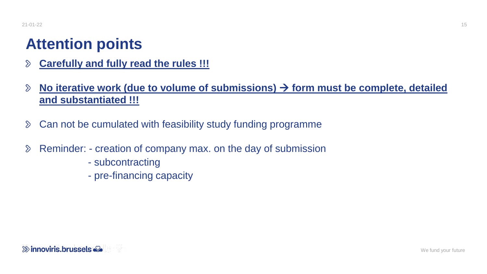### **Attention points**

- **Carefully and fully read the rules !!!**  $\sum$
- **No iterative work (due to volume of submissions)** → **form must be complete, detailed**   $\delta$ **and substantiated !!!**
- Can not be cumulated with feasibility study funding programme  $\delta$
- Reminder: creation of company max. on the day of submission  $\delta$ 
	- subcontracting
	- pre-financing capacity